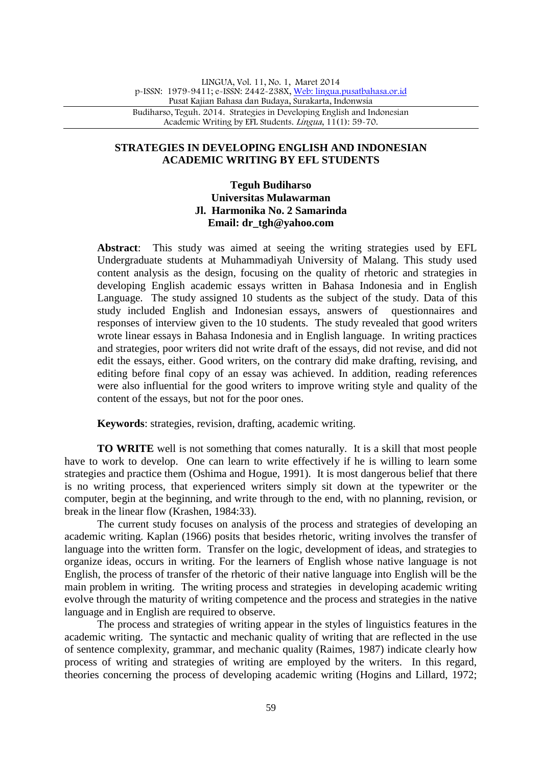# **STRATEGIES IN DEVELOPING ENGLISH AND INDONESIAN ACADEMIC WRITING BY EFL STUDENTS**

# **Teguh Budiharso Universitas Mulawarman Jl. Harmonika No. 2 Samarinda Email: dr\_tgh@yahoo.com**

**Abstract**: This study was aimed at seeing the writing strategies used by EFL Undergraduate students at Muhammadiyah University of Malang. This study used content analysis as the design, focusing on the quality of rhetoric and strategies in developing English academic essays written in Bahasa Indonesia and in English Language. The study assigned 10 students as the subject of the study. Data of this study included English and Indonesian essays, answers of questionnaires and responses of interview given to the 10 students. The study revealed that good writers wrote linear essays in Bahasa Indonesia and in English language. In writing practices and strategies, poor writers did not write draft of the essays, did not revise, and did not edit the essays, either. Good writers, on the contrary did make drafting, revising, and editing before final copy of an essay was achieved. In addition, reading references were also influential for the good writers to improve writing style and quality of the content of the essays, but not for the poor ones.

**Keywords**: strategies, revision, drafting, academic writing.

**TO WRITE** well is not something that comes naturally. It is a skill that most people have to work to develop. One can learn to write effectively if he is willing to learn some strategies and practice them (Oshima and Hogue, 1991). It is most dangerous belief that there is no writing process, that experienced writers simply sit down at the typewriter or the computer, begin at the beginning, and write through to the end, with no planning, revision, or break in the linear flow (Krashen, 1984:33).

The current study focuses on analysis of the process and strategies of developing an academic writing. Kaplan (1966) posits that besides rhetoric, writing involves the transfer of language into the written form. Transfer on the logic, development of ideas, and strategies to organize ideas, occurs in writing. For the learners of English whose native language is not English, the process of transfer of the rhetoric of their native language into English will be the main problem in writing. The writing process and strategies in developing academic writing evolve through the maturity of writing competence and the process and strategies in the native language and in English are required to observe.

The process and strategies of writing appear in the styles of linguistics features in the academic writing. The syntactic and mechanic quality of writing that are reflected in the use of sentence complexity, grammar, and mechanic quality (Raimes, 1987) indicate clearly how process of writing and strategies of writing are employed by the writers. In this regard, theories concerning the process of developing academic writing (Hogins and Lillard, 1972;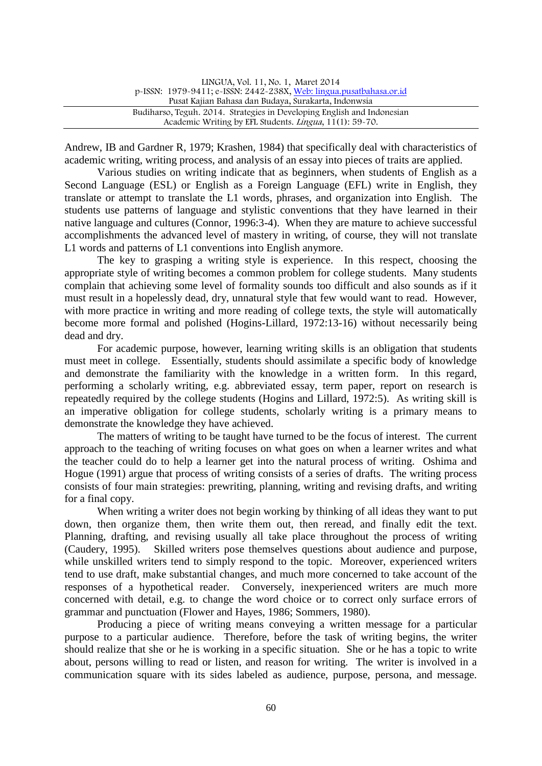| LINGUA, Vol. 11, No. 1, Maret 2014                                      |  |
|-------------------------------------------------------------------------|--|
| p-ISSN: 1979-9411; e-ISSN: 2442-238X, Web: lingua.pusatbahasa.or.id     |  |
| Pusat Kajian Bahasa dan Budaya, Surakarta, Indonwsia                    |  |
| Budiharso, Teguh. 2014. Strategies in Developing English and Indonesian |  |
| Academic Writing by EFL Students. Lingua, 11(1): 59-70.                 |  |

Andrew, IB and Gardner R, 1979; Krashen, 1984) that specifically deal with characteristics of academic writing, writing process, and analysis of an essay into pieces of traits are applied.

Various studies on writing indicate that as beginners, when students of English as a Second Language (ESL) or English as a Foreign Language (EFL) write in English, they translate or attempt to translate the L1 words, phrases, and organization into English. The students use patterns of language and stylistic conventions that they have learned in their native language and cultures (Connor, 1996:3-4). When they are mature to achieve successful accomplishments the advanced level of mastery in writing, of course, they will not translate L1 words and patterns of L1 conventions into English anymore.

The key to grasping a writing style is experience. In this respect, choosing the appropriate style of writing becomes a common problem for college students. Many students complain that achieving some level of formality sounds too difficult and also sounds as if it must result in a hopelessly dead, dry, unnatural style that few would want to read. However, with more practice in writing and more reading of college texts, the style will automatically become more formal and polished (Hogins-Lillard, 1972:13-16) without necessarily being dead and dry.

For academic purpose, however, learning writing skills is an obligation that students must meet in college. Essentially, students should assimilate a specific body of knowledge and demonstrate the familiarity with the knowledge in a written form. In this regard, performing a scholarly writing, e.g. abbreviated essay, term paper, report on research is repeatedly required by the college students (Hogins and Lillard, 1972:5). As writing skill is an imperative obligation for college students, scholarly writing is a primary means to demonstrate the knowledge they have achieved.

The matters of writing to be taught have turned to be the focus of interest. The current approach to the teaching of writing focuses on what goes on when a learner writes and what the teacher could do to help a learner get into the natural process of writing. Oshima and Hogue (1991) argue that process of writing consists of a series of drafts. The writing process consists of four main strategies: prewriting, planning, writing and revising drafts, and writing for a final copy.

When writing a writer does not begin working by thinking of all ideas they want to put down, then organize them, then write them out, then reread, and finally edit the text. Planning, drafting, and revising usually all take place throughout the process of writing (Caudery, 1995). Skilled writers pose themselves questions about audience and purpose, while unskilled writers tend to simply respond to the topic. Moreover, experienced writers tend to use draft, make substantial changes, and much more concerned to take account of the responses of a hypothetical reader. Conversely, inexperienced writers are much more concerned with detail, e.g. to change the word choice or to correct only surface errors of grammar and punctuation (Flower and Hayes, 1986; Sommers, 1980).

Producing a piece of writing means conveying a written message for a particular purpose to a particular audience. Therefore, before the task of writing begins, the writer should realize that she or he is working in a specific situation. She or he has a topic to write about, persons willing to read or listen, and reason for writing. The writer is involved in a communication square with its sides labeled as audience, purpose, persona, and message.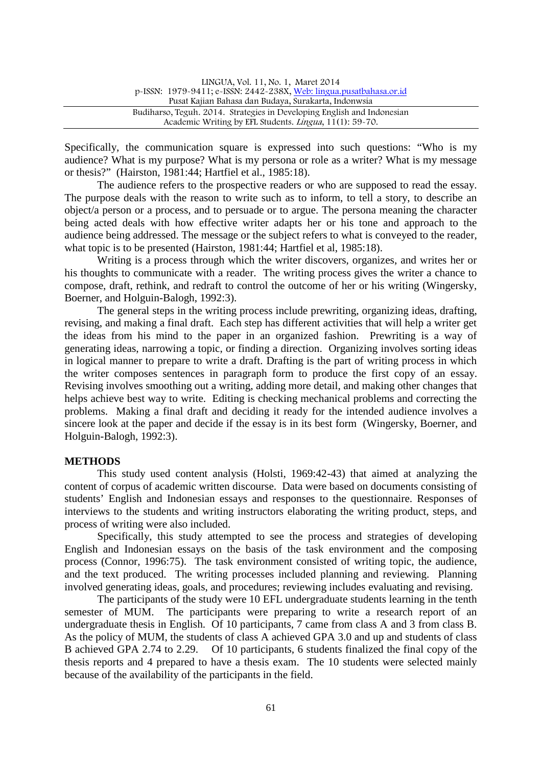| LINGUA, Vol. 11, No. 1, Maret 2014                                      |  |
|-------------------------------------------------------------------------|--|
| p-ISSN: 1979-9411; e-ISSN: 2442-238X, Web: lingua.pusatbahasa.or.id     |  |
| Pusat Kajian Bahasa dan Budaya, Surakarta, Indonwsia                    |  |
| Budiharso, Teguh. 2014. Strategies in Developing English and Indonesian |  |
| Academic Writing by EFL Students. Lingua, 11(1): 59-70.                 |  |

Specifically, the communication square is expressed into such questions: "Who is my audience? What is my purpose? What is my persona or role as a writer? What is my message or thesis?" (Hairston, 1981:44; Hartfiel et al., 1985:18).

The audience refers to the prospective readers or who are supposed to read the essay. The purpose deals with the reason to write such as to inform, to tell a story, to describe an object/a person or a process, and to persuade or to argue. The persona meaning the character being acted deals with how effective writer adapts her or his tone and approach to the audience being addressed. The message or the subject refers to what is conveyed to the reader, what topic is to be presented (Hairston, 1981:44; Hartfiel et al, 1985:18).

Writing is a process through which the writer discovers, organizes, and writes her or his thoughts to communicate with a reader. The writing process gives the writer a chance to compose, draft, rethink, and redraft to control the outcome of her or his writing (Wingersky, Boerner, and Holguin-Balogh, 1992:3).

The general steps in the writing process include prewriting, organizing ideas, drafting, revising, and making a final draft. Each step has different activities that will help a writer get the ideas from his mind to the paper in an organized fashion. Prewriting is a way of generating ideas, narrowing a topic, or finding a direction. Organizing involves sorting ideas in logical manner to prepare to write a draft. Drafting is the part of writing process in which the writer composes sentences in paragraph form to produce the first copy of an essay. Revising involves smoothing out a writing, adding more detail, and making other changes that helps achieve best way to write. Editing is checking mechanical problems and correcting the problems. Making a final draft and deciding it ready for the intended audience involves a sincere look at the paper and decide if the essay is in its best form (Wingersky, Boerner, and Holguin-Balogh, 1992:3).

#### **METHODS**

This study used content analysis (Holsti, 1969:42-43) that aimed at analyzing the content of corpus of academic written discourse. Data were based on documents consisting of students' English and Indonesian essays and responses to the questionnaire. Responses of interviews to the students and writing instructors elaborating the writing product, steps, and process of writing were also included.

Specifically, this study attempted to see the process and strategies of developing English and Indonesian essays on the basis of the task environment and the composing process (Connor, 1996:75). The task environment consisted of writing topic, the audience, and the text produced. The writing processes included planning and reviewing. Planning involved generating ideas, goals, and procedures; reviewing includes evaluating and revising.

The participants of the study were 10 EFL undergraduate students learning in the tenth semester of MUM. The participants were preparing to write a research report of an undergraduate thesis in English. Of 10 participants, 7 came from class A and 3 from class B. As the policy of MUM, the students of class A achieved GPA 3.0 and up and students of class B achieved GPA 2.74 to 2.29. Of 10 participants, 6 students finalized the final copy of the thesis reports and 4 prepared to have a thesis exam. The 10 students were selected mainly because of the availability of the participants in the field.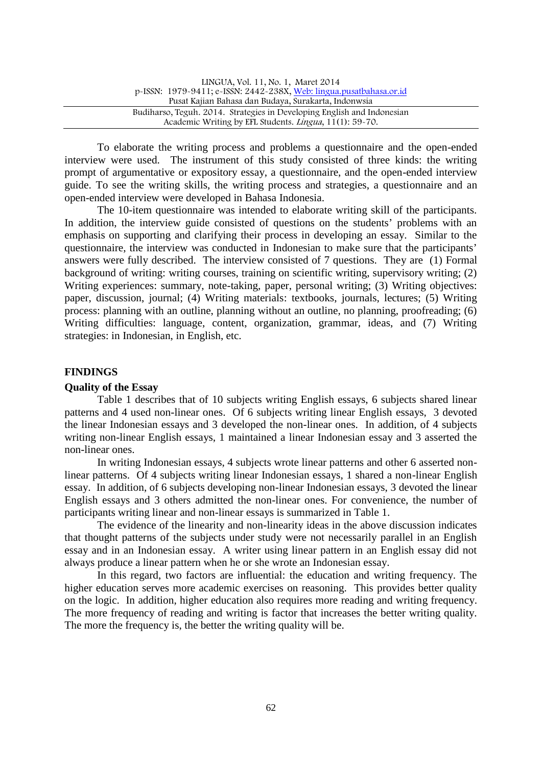| LINGUA, Vol. 11, No. 1, Maret 2014                                      |  |
|-------------------------------------------------------------------------|--|
| p-ISSN: 1979-9411; e-ISSN: 2442-238X, Web: lingua.pusatbahasa.or.id     |  |
| Pusat Kajian Bahasa dan Budaya, Surakarta, Indonwsia                    |  |
| Budiharso, Teguh. 2014. Strategies in Developing English and Indonesian |  |
| Academic Writing by EFL Students. Lingua, 11(1): 59-70.                 |  |

To elaborate the writing process and problems a questionnaire and the open-ended interview were used. The instrument of this study consisted of three kinds: the writing prompt of argumentative or expository essay, a questionnaire, and the open-ended interview guide. To see the writing skills, the writing process and strategies, a questionnaire and an open-ended interview were developed in Bahasa Indonesia.

The 10-item questionnaire was intended to elaborate writing skill of the participants. In addition, the interview guide consisted of questions on the students' problems with an emphasis on supporting and clarifying their process in developing an essay. Similar to the questionnaire, the interview was conducted in Indonesian to make sure that the participants' answers were fully described. The interview consisted of 7 questions. They are (1) Formal background of writing: writing courses, training on scientific writing, supervisory writing; (2) Writing experiences: summary, note-taking, paper, personal writing; (3) Writing objectives: paper, discussion, journal; (4) Writing materials: textbooks, journals, lectures; (5) Writing process: planning with an outline, planning without an outline, no planning, proofreading; (6) Writing difficulties: language, content, organization, grammar, ideas, and (7) Writing strategies: in Indonesian, in English, etc.

## **FINDINGS**

## **Quality of the Essay**

Table 1 describes that of 10 subjects writing English essays, 6 subjects shared linear patterns and 4 used non-linear ones. Of 6 subjects writing linear English essays, 3 devoted the linear Indonesian essays and 3 developed the non-linear ones. In addition, of 4 subjects writing non-linear English essays, 1 maintained a linear Indonesian essay and 3 asserted the non-linear ones.

In writing Indonesian essays, 4 subjects wrote linear patterns and other 6 asserted nonlinear patterns. Of 4 subjects writing linear Indonesian essays, 1 shared a non-linear English essay. In addition, of 6 subjects developing non-linear Indonesian essays, 3 devoted the linear English essays and 3 others admitted the non-linear ones. For convenience, the number of participants writing linear and non-linear essays is summarized in Table 1.

The evidence of the linearity and non-linearity ideas in the above discussion indicates that thought patterns of the subjects under study were not necessarily parallel in an English essay and in an Indonesian essay. A writer using linear pattern in an English essay did not always produce a linear pattern when he or she wrote an Indonesian essay.

In this regard, two factors are influential: the education and writing frequency. The higher education serves more academic exercises on reasoning. This provides better quality on the logic. In addition, higher education also requires more reading and writing frequency. The more frequency of reading and writing is factor that increases the better writing quality. The more the frequency is, the better the writing quality will be.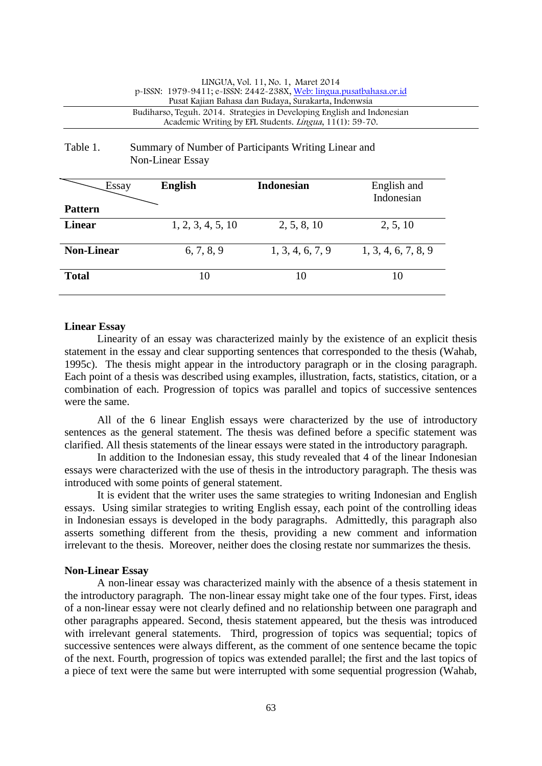#### LINGUA, Vol. 11, No. 1, Maret 2014 p-ISSN: 1979-9411; e-ISSN: 2442-238X, Web: lingua.pusatbahasa.or.id Pusat Kajian Bahasa dan Budaya, Surakarta, Indonwsia Budiharso, Teguh. 2014. Strategies in Developing English and Indonesian Academic Writing by EFL Students. Lingua, 11(1): 59-70.

# Table 1. Summary of Number of Participants Writing Linear and Non-Linear Essay

| Essay             | <b>English</b>    | <b>Indonesian</b> | English and<br>Indonesian |
|-------------------|-------------------|-------------------|---------------------------|
| <b>Pattern</b>    |                   |                   |                           |
| <b>Linear</b>     | 1, 2, 3, 4, 5, 10 | 2, 5, 8, 10       | 2, 5, 10                  |
| <b>Non-Linear</b> | 6, 7, 8, 9        | 1, 3, 4, 6, 7, 9  | 1, 3, 4, 6, 7, 8, 9       |
| <b>Total</b>      | 10                | 10                | 10                        |

## **Linear Essay**

Linearity of an essay was characterized mainly by the existence of an explicit thesis statement in the essay and clear supporting sentences that corresponded to the thesis (Wahab, 1995c). The thesis might appear in the introductory paragraph or in the closing paragraph. Each point of a thesis was described using examples, illustration, facts, statistics, citation, or a combination of each. Progression of topics was parallel and topics of successive sentences were the same.

All of the 6 linear English essays were characterized by the use of introductory sentences as the general statement. The thesis was defined before a specific statement was clarified. All thesis statements of the linear essays were stated in the introductory paragraph.

In addition to the Indonesian essay, this study revealed that 4 of the linear Indonesian essays were characterized with the use of thesis in the introductory paragraph. The thesis was introduced with some points of general statement.

It is evident that the writer uses the same strategies to writing Indonesian and English essays. Using similar strategies to writing English essay, each point of the controlling ideas in Indonesian essays is developed in the body paragraphs. Admittedly, this paragraph also asserts something different from the thesis, providing a new comment and information irrelevant to the thesis. Moreover, neither does the closing restate nor summarizes the thesis.

## **Non-Linear Essay**

A non-linear essay was characterized mainly with the absence of a thesis statement in the introductory paragraph. The non-linear essay might take one of the four types. First, ideas of a non-linear essay were not clearly defined and no relationship between one paragraph and other paragraphs appeared. Second, thesis statement appeared, but the thesis was introduced with irrelevant general statements. Third, progression of topics was sequential; topics of successive sentences were always different, as the comment of one sentence became the topic of the next. Fourth, progression of topics was extended parallel; the first and the last topics of a piece of text were the same but were interrupted with some sequential progression (Wahab,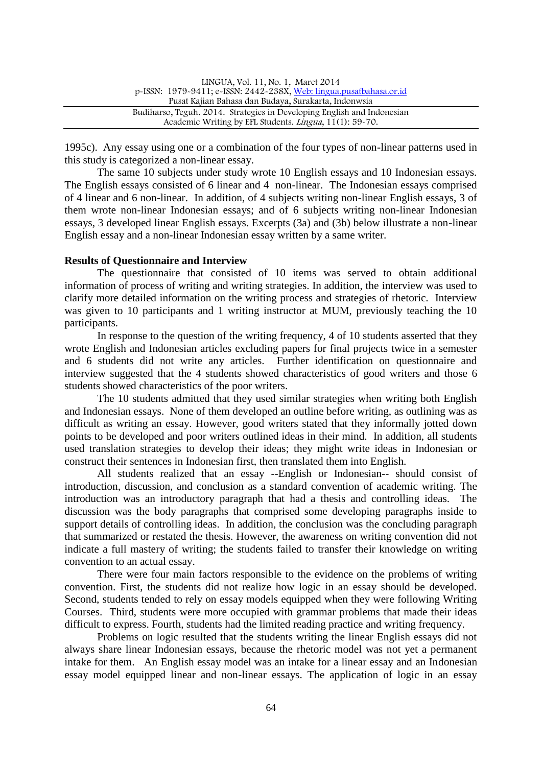| LINGUA, Vol. 11, No. 1, Maret 2014                                      |  |
|-------------------------------------------------------------------------|--|
| p-ISSN: 1979-9411; e-ISSN: 2442-238X, Web: lingua.pusatbahasa.or.id     |  |
| Pusat Kajian Bahasa dan Budaya, Surakarta, Indonwsia                    |  |
| Budiharso, Teguh. 2014. Strategies in Developing English and Indonesian |  |
| Academic Writing by EFL Students. Lingua, 11(1): 59-70.                 |  |

1995c). Any essay using one or a combination of the four types of non-linear patterns used in this study is categorized a non-linear essay.

The same 10 subjects under study wrote 10 English essays and 10 Indonesian essays. The English essays consisted of 6 linear and 4 non-linear. The Indonesian essays comprised of 4 linear and 6 non-linear. In addition, of 4 subjects writing non-linear English essays, 3 of them wrote non-linear Indonesian essays; and of 6 subjects writing non-linear Indonesian essays, 3 developed linear English essays. Excerpts (3a) and (3b) below illustrate a non-linear English essay and a non-linear Indonesian essay written by a same writer.

#### **Results of Questionnaire and Interview**

The questionnaire that consisted of 10 items was served to obtain additional information of process of writing and writing strategies. In addition, the interview was used to clarify more detailed information on the writing process and strategies of rhetoric. Interview was given to 10 participants and 1 writing instructor at MUM, previously teaching the 10 participants.

In response to the question of the writing frequency, 4 of 10 students asserted that they wrote English and Indonesian articles excluding papers for final projects twice in a semester and 6 students did not write any articles. Further identification on questionnaire and interview suggested that the 4 students showed characteristics of good writers and those 6 students showed characteristics of the poor writers.

The 10 students admitted that they used similar strategies when writing both English and Indonesian essays. None of them developed an outline before writing, as outlining was as difficult as writing an essay. However, good writers stated that they informally jotted down points to be developed and poor writers outlined ideas in their mind. In addition, all students used translation strategies to develop their ideas; they might write ideas in Indonesian or construct their sentences in Indonesian first, then translated them into English.

All students realized that an essay --English or Indonesian-- should consist of introduction, discussion, and conclusion as a standard convention of academic writing. The introduction was an introductory paragraph that had a thesis and controlling ideas. The discussion was the body paragraphs that comprised some developing paragraphs inside to support details of controlling ideas. In addition, the conclusion was the concluding paragraph that summarized or restated the thesis. However, the awareness on writing convention did not indicate a full mastery of writing; the students failed to transfer their knowledge on writing convention to an actual essay.

There were four main factors responsible to the evidence on the problems of writing convention. First, the students did not realize how logic in an essay should be developed. Second, students tended to rely on essay models equipped when they were following Writing Courses. Third, students were more occupied with grammar problems that made their ideas difficult to express. Fourth, students had the limited reading practice and writing frequency.

Problems on logic resulted that the students writing the linear English essays did not always share linear Indonesian essays, because the rhetoric model was not yet a permanent intake for them. An English essay model was an intake for a linear essay and an Indonesian essay model equipped linear and non-linear essays. The application of logic in an essay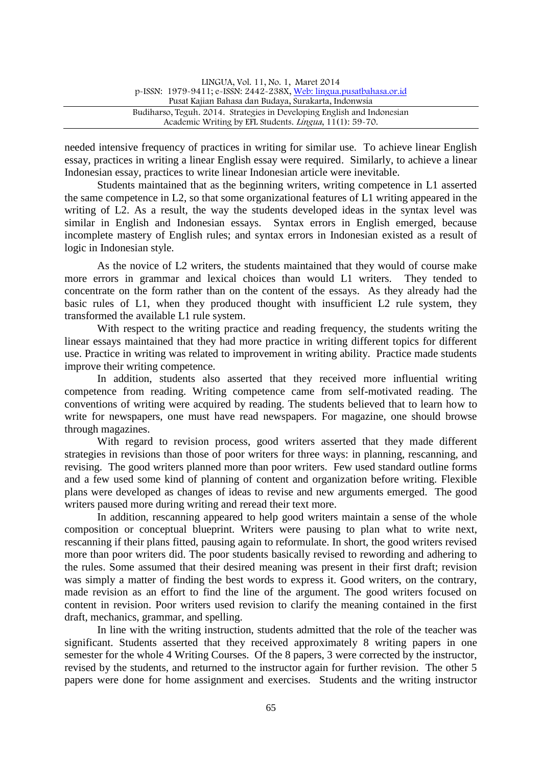| LINGUA, Vol. 11, No. 1, Maret 2014                                      |  |
|-------------------------------------------------------------------------|--|
| p-ISSN: 1979-9411; e-ISSN: 2442-238X, Web: lingua.pusatbahasa.or.id     |  |
| Pusat Kajian Bahasa dan Budaya, Surakarta, Indonwsia                    |  |
| Budiharso, Teguh. 2014. Strategies in Developing English and Indonesian |  |
| Academic Writing by EFL Students. Lingua, 11(1): 59-70.                 |  |

needed intensive frequency of practices in writing for similar use. To achieve linear English essay, practices in writing a linear English essay were required. Similarly, to achieve a linear Indonesian essay, practices to write linear Indonesian article were inevitable.

Students maintained that as the beginning writers, writing competence in L1 asserted the same competence in L2, so that some organizational features of L1 writing appeared in the writing of L2. As a result, the way the students developed ideas in the syntax level was similar in English and Indonesian essays. Syntax errors in English emerged, because incomplete mastery of English rules; and syntax errors in Indonesian existed as a result of logic in Indonesian style.

As the novice of L2 writers, the students maintained that they would of course make more errors in grammar and lexical choices than would L1 writers. They tended to concentrate on the form rather than on the content of the essays. As they already had the basic rules of L1, when they produced thought with insufficient L2 rule system, they transformed the available L1 rule system.

With respect to the writing practice and reading frequency, the students writing the linear essays maintained that they had more practice in writing different topics for different use. Practice in writing was related to improvement in writing ability. Practice made students improve their writing competence.

In addition, students also asserted that they received more influential writing competence from reading. Writing competence came from self-motivated reading. The conventions of writing were acquired by reading. The students believed that to learn how to write for newspapers, one must have read newspapers. For magazine, one should browse through magazines.

With regard to revision process, good writers asserted that they made different strategies in revisions than those of poor writers for three ways: in planning, rescanning, and revising. The good writers planned more than poor writers. Few used standard outline forms and a few used some kind of planning of content and organization before writing. Flexible plans were developed as changes of ideas to revise and new arguments emerged. The good writers paused more during writing and reread their text more.

In addition, rescanning appeared to help good writers maintain a sense of the whole composition or conceptual blueprint. Writers were pausing to plan what to write next, rescanning if their plans fitted, pausing again to reformulate. In short, the good writers revised more than poor writers did. The poor students basically revised to rewording and adhering to the rules. Some assumed that their desired meaning was present in their first draft; revision was simply a matter of finding the best words to express it. Good writers, on the contrary, made revision as an effort to find the line of the argument. The good writers focused on content in revision. Poor writers used revision to clarify the meaning contained in the first draft, mechanics, grammar, and spelling.

In line with the writing instruction, students admitted that the role of the teacher was significant. Students asserted that they received approximately 8 writing papers in one semester for the whole 4 Writing Courses. Of the 8 papers, 3 were corrected by the instructor, revised by the students, and returned to the instructor again for further revision. The other 5 papers were done for home assignment and exercises. Students and the writing instructor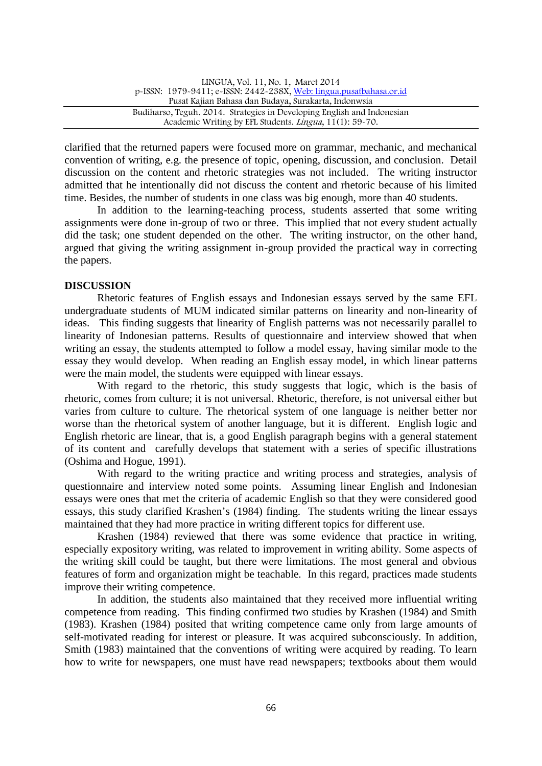| LINGUA, Vol. 11, No. 1, Maret 2014                                      |  |
|-------------------------------------------------------------------------|--|
| p-ISSN: 1979-9411; e-ISSN: 2442-238X, Web: lingua.pusatbahasa.or.id     |  |
| Pusat Kajian Bahasa dan Budaya, Surakarta, Indonwsia                    |  |
| Budiharso, Teguh. 2014. Strategies in Developing English and Indonesian |  |
| Academic Writing by EFL Students. <i>Lingua</i> , 11(1): 59-70.         |  |

clarified that the returned papers were focused more on grammar, mechanic, and mechanical convention of writing, e.g. the presence of topic, opening, discussion, and conclusion. Detail discussion on the content and rhetoric strategies was not included. The writing instructor admitted that he intentionally did not discuss the content and rhetoric because of his limited time. Besides, the number of students in one class was big enough, more than 40 students.

In addition to the learning-teaching process, students asserted that some writing assignments were done in-group of two or three. This implied that not every student actually did the task; one student depended on the other. The writing instructor, on the other hand, argued that giving the writing assignment in-group provided the practical way in correcting the papers.

## **DISCUSSION**

Rhetoric features of English essays and Indonesian essays served by the same EFL undergraduate students of MUM indicated similar patterns on linearity and non-linearity of ideas. This finding suggests that linearity of English patterns was not necessarily parallel to linearity of Indonesian patterns. Results of questionnaire and interview showed that when writing an essay, the students attempted to follow a model essay, having similar mode to the essay they would develop. When reading an English essay model, in which linear patterns were the main model, the students were equipped with linear essays.

With regard to the rhetoric, this study suggests that logic, which is the basis of rhetoric, comes from culture; it is not universal. Rhetoric, therefore, is not universal either but varies from culture to culture. The rhetorical system of one language is neither better nor worse than the rhetorical system of another language, but it is different. English logic and English rhetoric are linear, that is, a good English paragraph begins with a general statement of its content and carefully develops that statement with a series of specific illustrations (Oshima and Hogue, 1991).

With regard to the writing practice and writing process and strategies, analysis of questionnaire and interview noted some points. Assuming linear English and Indonesian essays were ones that met the criteria of academic English so that they were considered good essays, this study clarified Krashen's (1984) finding. The students writing the linear essays maintained that they had more practice in writing different topics for different use.

Krashen (1984) reviewed that there was some evidence that practice in writing, especially expository writing, was related to improvement in writing ability. Some aspects of the writing skill could be taught, but there were limitations. The most general and obvious features of form and organization might be teachable. In this regard, practices made students improve their writing competence.

In addition, the students also maintained that they received more influential writing competence from reading. This finding confirmed two studies by Krashen (1984) and Smith (1983). Krashen (1984) posited that writing competence came only from large amounts of self-motivated reading for interest or pleasure. It was acquired subconsciously. In addition, Smith (1983) maintained that the conventions of writing were acquired by reading. To learn how to write for newspapers, one must have read newspapers; textbooks about them would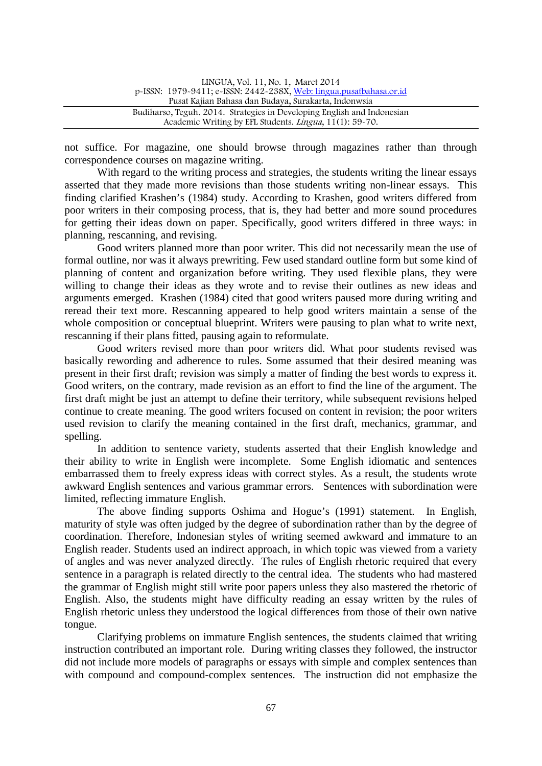| LINGUA, Vol. 11, No. 1, Maret 2014                                      |  |
|-------------------------------------------------------------------------|--|
| p-ISSN: 1979-9411; e-ISSN: 2442-238X, Web: lingua.pusatbahasa.or.id     |  |
| Pusat Kajian Bahasa dan Budaya, Surakarta, Indonwsia                    |  |
| Budiharso, Teguh. 2014. Strategies in Developing English and Indonesian |  |
| Academic Writing by EFL Students. <i>Lingua</i> , 11(1): 59-70.         |  |

not suffice. For magazine, one should browse through magazines rather than through correspondence courses on magazine writing.

With regard to the writing process and strategies, the students writing the linear essays asserted that they made more revisions than those students writing non-linear essays. This finding clarified Krashen's (1984) study. According to Krashen, good writers differed from poor writers in their composing process, that is, they had better and more sound procedures for getting their ideas down on paper. Specifically, good writers differed in three ways: in planning, rescanning, and revising.

Good writers planned more than poor writer. This did not necessarily mean the use of formal outline, nor was it always prewriting. Few used standard outline form but some kind of planning of content and organization before writing. They used flexible plans, they were willing to change their ideas as they wrote and to revise their outlines as new ideas and arguments emerged. Krashen (1984) cited that good writers paused more during writing and reread their text more. Rescanning appeared to help good writers maintain a sense of the whole composition or conceptual blueprint. Writers were pausing to plan what to write next, rescanning if their plans fitted, pausing again to reformulate.

Good writers revised more than poor writers did. What poor students revised was basically rewording and adherence to rules. Some assumed that their desired meaning was present in their first draft; revision was simply a matter of finding the best words to express it. Good writers, on the contrary, made revision as an effort to find the line of the argument. The first draft might be just an attempt to define their territory, while subsequent revisions helped continue to create meaning. The good writers focused on content in revision; the poor writers used revision to clarify the meaning contained in the first draft, mechanics, grammar, and spelling.

In addition to sentence variety, students asserted that their English knowledge and their ability to write in English were incomplete. Some English idiomatic and sentences embarrassed them to freely express ideas with correct styles. As a result, the students wrote awkward English sentences and various grammar errors. Sentences with subordination were limited, reflecting immature English.

The above finding supports Oshima and Hogue's (1991) statement. In English, maturity of style was often judged by the degree of subordination rather than by the degree of coordination. Therefore, Indonesian styles of writing seemed awkward and immature to an English reader. Students used an indirect approach, in which topic was viewed from a variety of angles and was never analyzed directly. The rules of English rhetoric required that every sentence in a paragraph is related directly to the central idea. The students who had mastered the grammar of English might still write poor papers unless they also mastered the rhetoric of English. Also, the students might have difficulty reading an essay written by the rules of English rhetoric unless they understood the logical differences from those of their own native tongue.

Clarifying problems on immature English sentences, the students claimed that writing instruction contributed an important role. During writing classes they followed, the instructor did not include more models of paragraphs or essays with simple and complex sentences than with compound and compound-complex sentences. The instruction did not emphasize the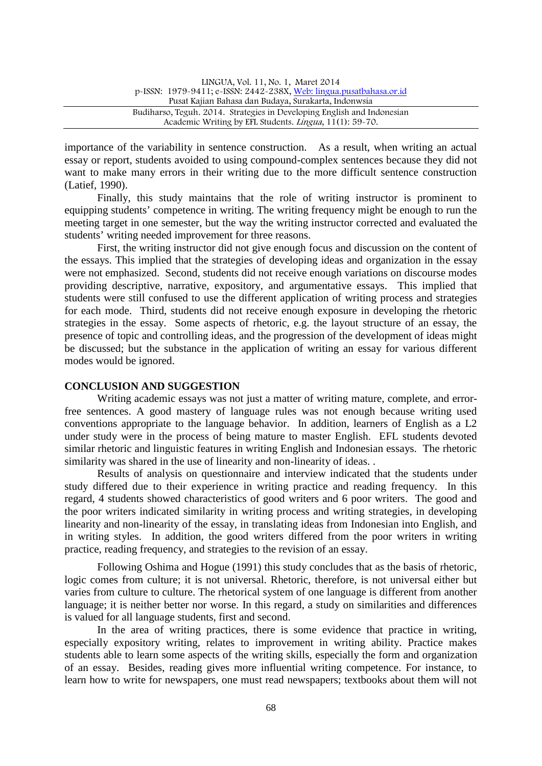| LINGUA, Vol. 11, No. 1, Maret 2014                                      |
|-------------------------------------------------------------------------|
| p-ISSN: 1979-9411; e-ISSN: 2442-238X, Web: lingua.pusatbahasa.or.id     |
| Pusat Kajian Bahasa dan Budaya, Surakarta, Indonwsia                    |
| Budiharso, Teguh. 2014. Strategies in Developing English and Indonesian |
| Academic Writing by EFL Students. <i>Lingua</i> , 11(1): 59-70.         |

importance of the variability in sentence construction. As a result, when writing an actual essay or report, students avoided to using compound-complex sentences because they did not want to make many errors in their writing due to the more difficult sentence construction (Latief, 1990).

Finally, this study maintains that the role of writing instructor is prominent to equipping students' competence in writing. The writing frequency might be enough to run the meeting target in one semester, but the way the writing instructor corrected and evaluated the students' writing needed improvement for three reasons.

First, the writing instructor did not give enough focus and discussion on the content of the essays. This implied that the strategies of developing ideas and organization in the essay were not emphasized. Second, students did not receive enough variations on discourse modes providing descriptive, narrative, expository, and argumentative essays. This implied that students were still confused to use the different application of writing process and strategies for each mode. Third, students did not receive enough exposure in developing the rhetoric strategies in the essay. Some aspects of rhetoric, e.g. the layout structure of an essay, the presence of topic and controlling ideas, and the progression of the development of ideas might be discussed; but the substance in the application of writing an essay for various different modes would be ignored.

#### **CONCLUSION AND SUGGESTION**

Writing academic essays was not just a matter of writing mature, complete, and errorfree sentences. A good mastery of language rules was not enough because writing used conventions appropriate to the language behavior. In addition, learners of English as a L2 under study were in the process of being mature to master English. EFL students devoted similar rhetoric and linguistic features in writing English and Indonesian essays. The rhetoric similarity was shared in the use of linearity and non-linearity of ideas...

Results of analysis on questionnaire and interview indicated that the students under study differed due to their experience in writing practice and reading frequency. In this regard, 4 students showed characteristics of good writers and 6 poor writers. The good and the poor writers indicated similarity in writing process and writing strategies, in developing linearity and non-linearity of the essay, in translating ideas from Indonesian into English, and in writing styles. In addition, the good writers differed from the poor writers in writing practice, reading frequency, and strategies to the revision of an essay.

Following Oshima and Hogue (1991) this study concludes that as the basis of rhetoric, logic comes from culture; it is not universal. Rhetoric, therefore, is not universal either but varies from culture to culture. The rhetorical system of one language is different from another language; it is neither better nor worse. In this regard, a study on similarities and differences is valued for all language students, first and second.

In the area of writing practices, there is some evidence that practice in writing, especially expository writing, relates to improvement in writing ability. Practice makes students able to learn some aspects of the writing skills, especially the form and organization of an essay. Besides, reading gives more influential writing competence. For instance, to learn how to write for newspapers, one must read newspapers; textbooks about them will not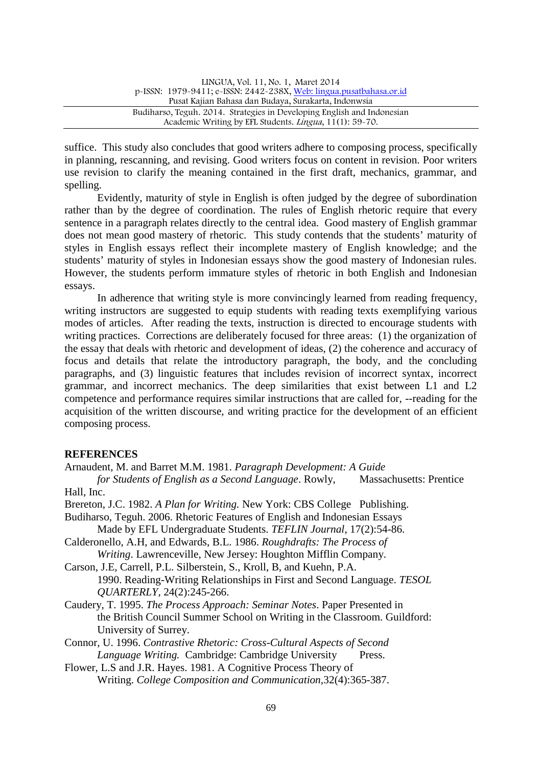| LINGUA, Vol. 11, No. 1, Maret 2014                                      |  |
|-------------------------------------------------------------------------|--|
| p-ISSN: 1979-9411; e-ISSN: 2442-238X, Web: lingua.pusatbahasa.or.id     |  |
| Pusat Kajian Bahasa dan Budaya, Surakarta, Indonwsia                    |  |
| Budiharso, Teguh. 2014. Strategies in Developing English and Indonesian |  |
| Academic Writing by EFL Students. Lingua, 11(1): 59-70.                 |  |

suffice. This study also concludes that good writers adhere to composing process, specifically in planning, rescanning, and revising. Good writers focus on content in revision. Poor writers use revision to clarify the meaning contained in the first draft, mechanics, grammar, and spelling.

Evidently, maturity of style in English is often judged by the degree of subordination rather than by the degree of coordination. The rules of English rhetoric require that every sentence in a paragraph relates directly to the central idea. Good mastery of English grammar does not mean good mastery of rhetoric. This study contends that the students' maturity of styles in English essays reflect their incomplete mastery of English knowledge; and the students' maturity of styles in Indonesian essays show the good mastery of Indonesian rules. However, the students perform immature styles of rhetoric in both English and Indonesian essays.

In adherence that writing style is more convincingly learned from reading frequency, writing instructors are suggested to equip students with reading texts exemplifying various modes of articles. After reading the texts, instruction is directed to encourage students with writing practices. Corrections are deliberately focused for three areas: (1) the organization of the essay that deals with rhetoric and development of ideas, (2) the coherence and accuracy of focus and details that relate the introductory paragraph, the body, and the concluding paragraphs, and (3) linguistic features that includes revision of incorrect syntax, incorrect grammar, and incorrect mechanics. The deep similarities that exist between L1 and L2 competence and performance requires similar instructions that are called for, --reading for the acquisition of the written discourse, and writing practice for the development of an efficient composing process.

## **REFERENCES**

- Arnaudent, M. and Barret M.M. 1981. *Paragraph Development: A Guide for Students of English as a Second Language*. Rowly, Massachusetts: Prentice
- Hall, Inc.
- Brereton, J.C. 1982. *A Plan for Writing.* New York: CBS College Publishing.
- Budiharso, Teguh. 2006. Rhetoric Features of English and Indonesian Essays
- Made by EFL Undergraduate Students. *TEFLIN Journal*, 17(2):54-86.
- Calderonello, A.H, and Edwards, B.L. 1986. *Roughdrafts: The Process of Writing*. Lawrenceville, New Jersey: Houghton Mifflin Company.
- Carson, J.E, Carrell, P.L. Silberstein, S., Kroll, B, and Kuehn, P.A. 1990. Reading-Writing Relationships in First and Second Language. *TESOL QUARTERLY*, 24(2):245-266.
- Caudery, T. 1995. *The Process Approach: Seminar Notes*. Paper Presented in the British Council Summer School on Writing in the Classroom. Guildford: University of Surrey.
- Connor, U. 1996. *Contrastive Rhetoric: Cross-Cultural Aspects of Second Language Writing.* Cambridge: Cambridge University Press.
- Flower, L.S and J.R. Hayes. 1981. A Cognitive Process Theory of Writing. *College Composition and Communication,*32(4):365-387.